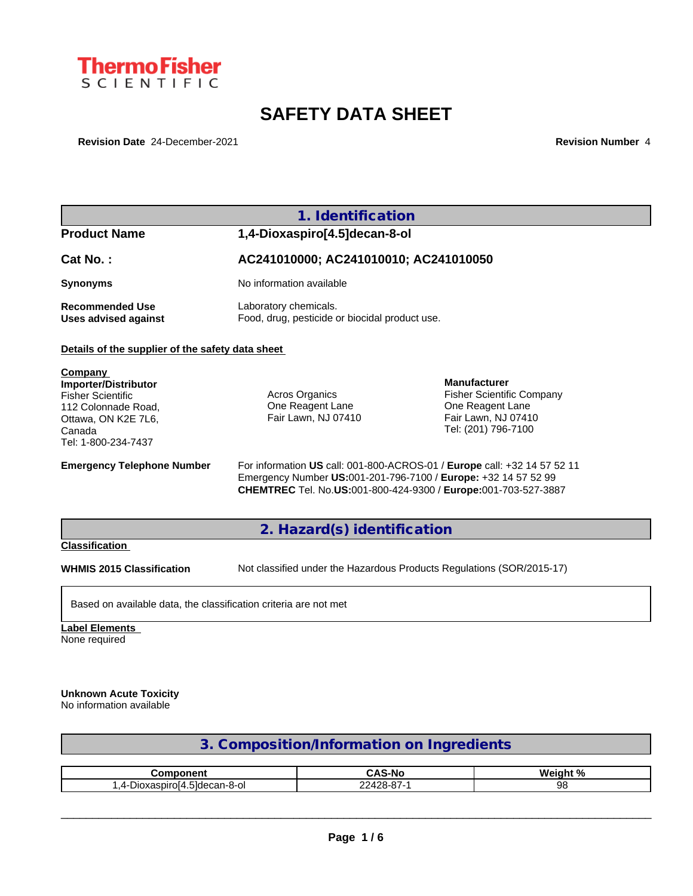

# **SAFETY DATA SHEET**

**Revision Date** 24-December-2021 **Revision Number** 4

|                                                                                                                                                   | 1. Identification                                                                                                                                                                                            |                                                                                                                           |  |
|---------------------------------------------------------------------------------------------------------------------------------------------------|--------------------------------------------------------------------------------------------------------------------------------------------------------------------------------------------------------------|---------------------------------------------------------------------------------------------------------------------------|--|
| <b>Product Name</b>                                                                                                                               | 1,4-Dioxaspiro[4.5]decan-8-ol                                                                                                                                                                                |                                                                                                                           |  |
| Cat No.:                                                                                                                                          | AC241010000; AC241010010; AC241010050                                                                                                                                                                        |                                                                                                                           |  |
| <b>Synonyms</b>                                                                                                                                   | No information available                                                                                                                                                                                     |                                                                                                                           |  |
| <b>Recommended Use</b><br><b>Uses advised against</b>                                                                                             | Laboratory chemicals.<br>Food, drug, pesticide or biocidal product use.                                                                                                                                      |                                                                                                                           |  |
| Details of the supplier of the safety data sheet                                                                                                  |                                                                                                                                                                                                              |                                                                                                                           |  |
| Company<br><b>Importer/Distributor</b><br><b>Fisher Scientific</b><br>112 Colonnade Road.<br>Ottawa, ON K2E 7L6,<br>Canada<br>Tel: 1-800-234-7437 | <b>Acros Organics</b><br>One Reagent Lane<br>Fair Lawn, NJ 07410                                                                                                                                             | <b>Manufacturer</b><br><b>Fisher Scientific Company</b><br>One Reagent Lane<br>Fair Lawn, NJ 07410<br>Tel: (201) 796-7100 |  |
| <b>Emergency Telephone Number</b>                                                                                                                 | For information US call: 001-800-ACROS-01 / Europe call: +32 14 57 52 11<br>Emergency Number US:001-201-796-7100 / Europe: +32 14 57 52 99<br>CHEMTREC Tel. No.US:001-800-424-9300 / Europe:001-703-527-3887 |                                                                                                                           |  |
|                                                                                                                                                   | 2. Hazard(s) identification                                                                                                                                                                                  |                                                                                                                           |  |
| <b>Classification</b>                                                                                                                             |                                                                                                                                                                                                              |                                                                                                                           |  |
| <b>WHMIS 2015 Classification</b>                                                                                                                  |                                                                                                                                                                                                              | Not classified under the Hazardous Products Regulations (SOR/2015-17)                                                     |  |
| Based on available data, the classification criteria are not met                                                                                  |                                                                                                                                                                                                              |                                                                                                                           |  |

**Label Elements** None required

## **Unknown Acute Toxicity**

No information available

| 3. Composition/Information on Ingredients |            |    |  |
|-------------------------------------------|------------|----|--|
|                                           |            |    |  |
| <b>CAS-No</b><br>Weight %<br>Component    |            |    |  |
| 1,4-Dioxaspiro[4.5]decan-8-ol             | 22428-87-1 | 98 |  |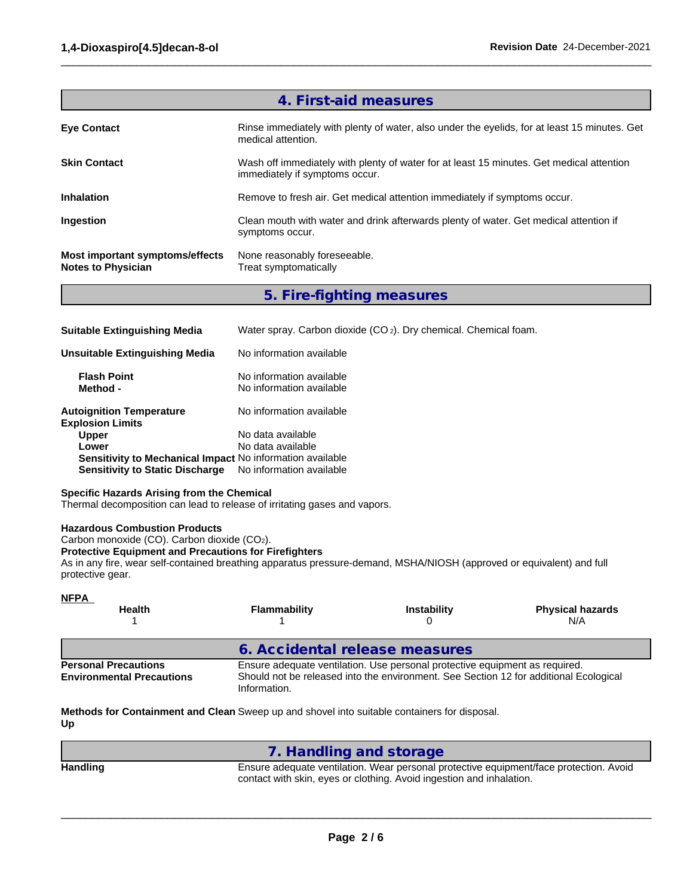| 4. First-aid measures                                        |                                                                                                                            |  |
|--------------------------------------------------------------|----------------------------------------------------------------------------------------------------------------------------|--|
| <b>Eye Contact</b>                                           | Rinse immediately with plenty of water, also under the eyelids, for at least 15 minutes. Get<br>medical attention.         |  |
| <b>Skin Contact</b>                                          | Wash off immediately with plenty of water for at least 15 minutes. Get medical attention<br>immediately if symptoms occur. |  |
| <b>Inhalation</b>                                            | Remove to fresh air. Get medical attention immediately if symptoms occur.                                                  |  |
| Ingestion                                                    | Clean mouth with water and drink afterwards plenty of water. Get medical attention if<br>symptoms occur.                   |  |
| Most important symptoms/effects<br><b>Notes to Physician</b> | None reasonably foreseeable.<br>Treat symptomatically                                                                      |  |

 $\_$  ,  $\_$  ,  $\_$  ,  $\_$  ,  $\_$  ,  $\_$  ,  $\_$  ,  $\_$  ,  $\_$  ,  $\_$  ,  $\_$  ,  $\_$  ,  $\_$  ,  $\_$  ,  $\_$  ,  $\_$  ,  $\_$  ,  $\_$  ,  $\_$  ,  $\_$  ,  $\_$  ,  $\_$  ,  $\_$  ,  $\_$  ,  $\_$  ,  $\_$  ,  $\_$  ,  $\_$  ,  $\_$  ,  $\_$  ,  $\_$  ,  $\_$  ,  $\_$  ,  $\_$  ,  $\_$  ,  $\_$  ,  $\_$  ,

## **5. Fire-fighting measures**

| <b>Suitable Extinguishing Media</b>                        | Water spray. Carbon dioxide (CO <sub>2</sub> ). Dry chemical. Chemical foam. |  |
|------------------------------------------------------------|------------------------------------------------------------------------------|--|
| <b>Unsuitable Extinguishing Media</b>                      | No information available                                                     |  |
| <b>Flash Point</b><br>Method -                             | No information available<br>No information available                         |  |
| <b>Autoignition Temperature</b><br><b>Explosion Limits</b> | No information available                                                     |  |
| <b>Upper</b>                                               | No data available                                                            |  |
| Lower                                                      | No data available                                                            |  |
| Sensitivity to Mechanical Impact No information available  |                                                                              |  |
| <b>Sensitivity to Static Discharge</b>                     | No information available                                                     |  |

## **Specific Hazards Arising from the Chemical**

Thermal decomposition can lead to release of irritating gases and vapors.

## **Hazardous Combustion Products**

Carbon monoxide (CO). Carbon dioxide (CO2).

## **Protective Equipment and Precautions for Firefighters**

As in any fire, wear self-contained breathing apparatus pressure-demand, MSHA/NIOSH (approved or equivalent) and full protective gear.

| <b>NFPA</b><br><b>Health</b>                                    | <b>Flammability</b>                                                                                                                                                                  | <b>Instability</b> | <b>Physical hazards</b><br>N/A |
|-----------------------------------------------------------------|--------------------------------------------------------------------------------------------------------------------------------------------------------------------------------------|--------------------|--------------------------------|
|                                                                 | 6. Accidental release measures                                                                                                                                                       |                    |                                |
| <b>Personal Precautions</b><br><b>Environmental Precautions</b> | Ensure adequate ventilation. Use personal protective equipment as required.<br>Should not be released into the environment. See Section 12 for additional Ecological<br>Information. |                    |                                |

**Methods for Containment and Clean** Sweep up and shovel into suitable containers for disposal. **Up**

## **7. Handling and storage**

**Handling** Ensure adequate ventilation. Wear personal protective equipment/face protection. Avoid contact with skin, eyes or clothing. Avoid ingestion and inhalation.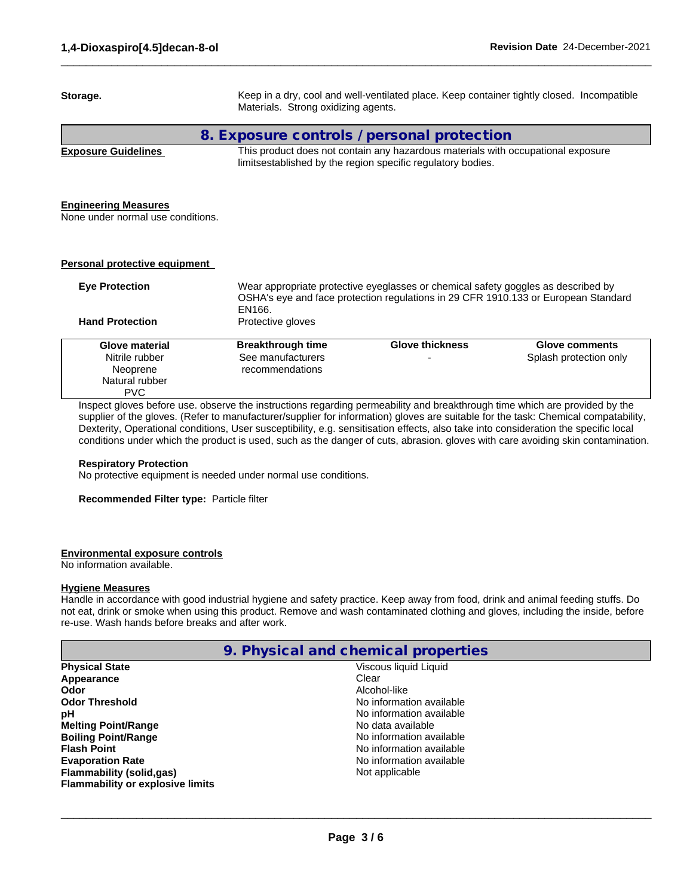**Storage.** Keep in a dry, cool and well-ventilated place. Keep container tightly closed. Incompatible Materials. Strong oxidizing agents. **8. Exposure controls / personal protection Exposure Guidelines** This product does not contain any hazardous materials with occupational exposure limitsestablished by the region specific regulatory bodies. **Engineering Measures** None under normal use conditions. **Personal protective equipment Eye Protection** Wear appropriate protective eyeglasses or chemical safety goggles as described by OSHA's eye and face protection regulations in 29 CFR 1910.133 or European Standard EN166. **Hand Protection** Protective gloves Inspect gloves before use. observe the instructions regarding permeability and breakthrough time which are provided by the supplier of the gloves. (Refer to manufacturer/supplier for information) gloves are suitable for the task: Chemical compatability, Dexterity, Operational conditions, User susceptibility, e.g. sensitisation effects, also take into consideration the specific local conditions under which the product is used, such as the danger of cuts, abrasion. gloves with care avoiding skin contamination. **Glove material Breakthrough time Glove thickness Glove comments** Nitrile rubber Neoprene Natural rubber PVC See manufacturers recommendations **-** Construction Splash protection only

 $\_$  ,  $\_$  ,  $\_$  ,  $\_$  ,  $\_$  ,  $\_$  ,  $\_$  ,  $\_$  ,  $\_$  ,  $\_$  ,  $\_$  ,  $\_$  ,  $\_$  ,  $\_$  ,  $\_$  ,  $\_$  ,  $\_$  ,  $\_$  ,  $\_$  ,  $\_$  ,  $\_$  ,  $\_$  ,  $\_$  ,  $\_$  ,  $\_$  ,  $\_$  ,  $\_$  ,  $\_$  ,  $\_$  ,  $\_$  ,  $\_$  ,  $\_$  ,  $\_$  ,  $\_$  ,  $\_$  ,  $\_$  ,  $\_$  ,

### **Respiratory Protection**

No protective equipment is needed under normal use conditions.

**Recommended Filter type:** Particle filter

## **Environmental exposure controls**

No information available.

### **Hygiene Measures**

Handle in accordance with good industrial hygiene and safety practice. Keep away from food, drink and animal feeding stuffs. Do not eat, drink or smoke when using this product. Remove and wash contaminated clothing and gloves, including the inside, before re-use. Wash hands before breaks and after work.

|                                         | 9. Physical and chemical properties |
|-----------------------------------------|-------------------------------------|
| <b>Physical State</b>                   | Viscous liquid Liquid               |
| Appearance                              | Clear                               |
| Odor                                    | Alcohol-like                        |
| <b>Odor Threshold</b>                   | No information available            |
| рH                                      | No information available            |
| <b>Melting Point/Range</b>              | No data available                   |
| <b>Boiling Point/Range</b>              | No information available            |
| <b>Flash Point</b>                      | No information available            |
| <b>Evaporation Rate</b>                 | No information available            |
| <b>Flammability (solid,gas)</b>         | Not applicable                      |
| <b>Flammability or explosive limits</b> |                                     |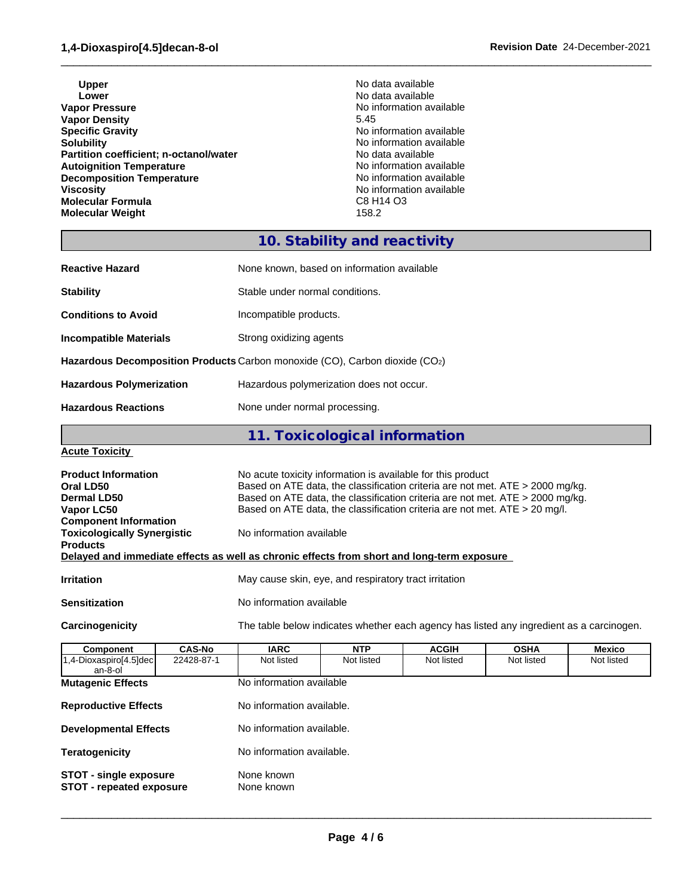Upper **No data available Lower Lower Lower CONSISTENT ACCORDING ALL CONSISTENT ACCORDING ALL CONSISTENCE ACCORDING AVAILABLE VALUE OF A CONSISTENT AND INCOMENTATION AVAILABLE VALUE OF A CONSISTENT AND INCOMENTATION AVAILABLE VALUE OF A CONS Vapor Density** 5.45<br> **Specific Gravity** 6.1 **Specific Gravity Specific Gravity Specific Gravity No information available**<br> **Solubility No information available Partition coefficient; n-octanol/water** No data available<br> **Autoignition Temperature Autoignition available Autoignition Temperature**<br> **Decomposition Temperature** Temperature **No information available**<br>
No information available **Decomposition Temperature**<br>Viscosity **Molecular Formula** C8 H14 O3 **Molecular Weight** 

**No information available** No information available<br>No data available No information available<br>C8 H14 O3

 $\_$  ,  $\_$  ,  $\_$  ,  $\_$  ,  $\_$  ,  $\_$  ,  $\_$  ,  $\_$  ,  $\_$  ,  $\_$  ,  $\_$  ,  $\_$  ,  $\_$  ,  $\_$  ,  $\_$  ,  $\_$  ,  $\_$  ,  $\_$  ,  $\_$  ,  $\_$  ,  $\_$  ,  $\_$  ,  $\_$  ,  $\_$  ,  $\_$  ,  $\_$  ,  $\_$  ,  $\_$  ,  $\_$  ,  $\_$  ,  $\_$  ,  $\_$  ,  $\_$  ,  $\_$  ,  $\_$  ,  $\_$  ,  $\_$  ,

## **10. Stability and reactivity**

| <b>Reactive Hazard</b>                                                      | None known, based on information available |  |
|-----------------------------------------------------------------------------|--------------------------------------------|--|
| <b>Stability</b>                                                            | Stable under normal conditions.            |  |
| <b>Conditions to Avoid</b>                                                  | Incompatible products.                     |  |
| Incompatible Materials                                                      | Strong oxidizing agents                    |  |
| Hazardous Decomposition Products Carbon monoxide (CO), Carbon dioxide (CO2) |                                            |  |
| <b>Hazardous Polymerization</b>                                             | Hazardous polymerization does not occur.   |  |
| <b>Hazardous Reactions</b>                                                  | None under normal processing.              |  |

**11. Toxicological information**

## **Acute Toxicity**

| <b>Product Information</b><br>Oral LD50<br>Dermal LD50<br>Vapor LC50<br><b>Component Information</b> | No acute toxicity information is available for this product<br>Based on ATE data, the classification criteria are not met. ATE > 2000 mg/kg.<br>Based on ATE data, the classification criteria are not met. ATE $>$ 2000 mg/kg.<br>Based on ATE data, the classification criteria are not met. ATE $>$ 20 mg/l. |
|------------------------------------------------------------------------------------------------------|-----------------------------------------------------------------------------------------------------------------------------------------------------------------------------------------------------------------------------------------------------------------------------------------------------------------|
| <b>Toxicologically Synergistic</b><br><b>Products</b>                                                | No information available<br>Delayed and immediate effects as well as chronic effects from short and long-term exposure                                                                                                                                                                                          |
| <b>Irritation</b>                                                                                    | May cause skin, eye, and respiratory tract irritation                                                                                                                                                                                                                                                           |
| <b>Sensitization</b>                                                                                 | No information available                                                                                                                                                                                                                                                                                        |

**Carcinogenicity** The table below indicateswhether each agency has listed any ingredient as a carcinogen.

| Component                         | <b>CAS-No</b>                                                                                | <b>IARC</b>               | <b>NTP</b> | <b>ACGIH</b> | <b>OSHA</b> | Mexico     |
|-----------------------------------|----------------------------------------------------------------------------------------------|---------------------------|------------|--------------|-------------|------------|
| 1,4-Dioxaspiro[4.5]dec<br>an-8-ol | 22428-87-1                                                                                   | Not listed                | Not listed | Not listed   | Not listed  | Not listed |
| <b>Mutagenic Effects</b>          |                                                                                              | No information available  |            |              |             |            |
| <b>Reproductive Effects</b>       |                                                                                              | No information available. |            |              |             |            |
| <b>Developmental Effects</b>      |                                                                                              | No information available. |            |              |             |            |
| <b>Teratogenicity</b>             | No information available.                                                                    |                           |            |              |             |            |
|                                   | None known<br><b>STOT - single exposure</b><br>None known<br><b>STOT - repeated exposure</b> |                           |            |              |             |            |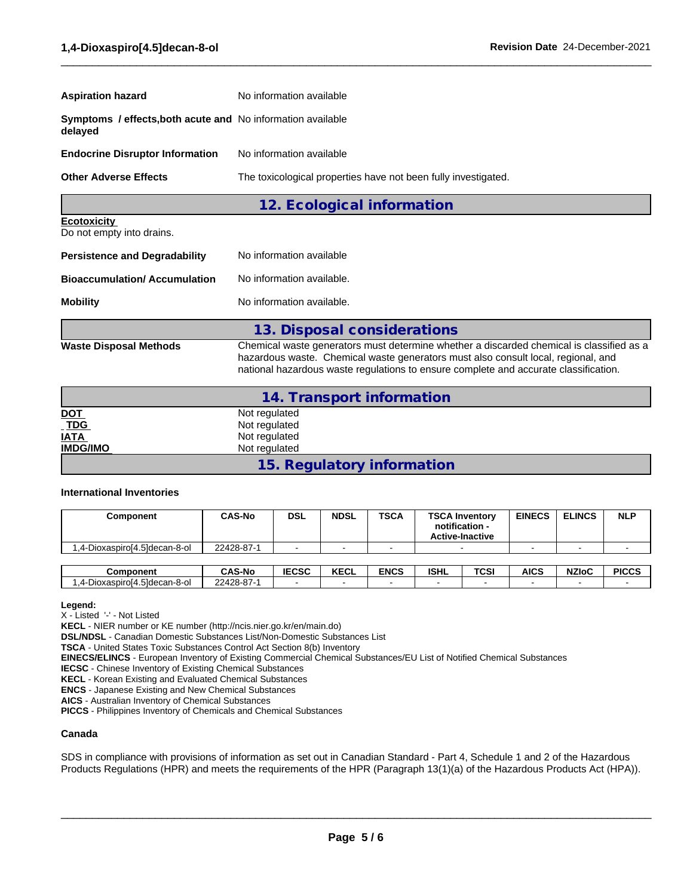| <b>Aspiration hazard</b>                                                      | No information available                                       |  |  |
|-------------------------------------------------------------------------------|----------------------------------------------------------------|--|--|
| <b>Symptoms / effects, both acute and No information available</b><br>delayed |                                                                |  |  |
| <b>Endocrine Disruptor Information</b>                                        | No information available                                       |  |  |
| <b>Other Adverse Effects</b>                                                  | The toxicological properties have not been fully investigated. |  |  |
|                                                                               | 12. Ecological information                                     |  |  |
| <b>Ecotoxicity</b><br>Do not empty into drains.                               |                                                                |  |  |
| <b>Persistence and Degradability</b>                                          | No information available                                       |  |  |

 $\_$  ,  $\_$  ,  $\_$  ,  $\_$  ,  $\_$  ,  $\_$  ,  $\_$  ,  $\_$  ,  $\_$  ,  $\_$  ,  $\_$  ,  $\_$  ,  $\_$  ,  $\_$  ,  $\_$  ,  $\_$  ,  $\_$  ,  $\_$  ,  $\_$  ,  $\_$  ,  $\_$  ,  $\_$  ,  $\_$  ,  $\_$  ,  $\_$  ,  $\_$  ,  $\_$  ,  $\_$  ,  $\_$  ,  $\_$  ,  $\_$  ,  $\_$  ,  $\_$  ,  $\_$  ,  $\_$  ,  $\_$  ,  $\_$  ,

| Bioaccumulation/ Accumulation | No information available. |
|-------------------------------|---------------------------|

| Mobility | No information available. |
|----------|---------------------------|

**13. Disposal considerations Waste Disposal Methods** Chemical waste generators must determine whether a discarded chemical is classified as a hazardous waste. Chemical waste generators must also consult local, regional, and national hazardous waste regulations to ensure complete and accurate classification.

|                   | 14. Transport information  |
|-------------------|----------------------------|
|                   | Not regulated              |
| <u>DOT</u><br>TDG | Not regulated              |
| <b>IATA</b>       | Not regulated              |
| <b>IMDG/IMO</b>   | Not regulated              |
|                   | 15. Regulatory information |

## **International Inventories**

| <b>Component</b>              | <b>CAS-No</b> | <b>DSL</b>               | <b>NDSL</b>              | <b>TSCA</b> | <b>TSCA Inventory</b><br>notification -<br><b>Active-Inactive</b> |      | <b>EINECS</b> | <b>ELINCS</b> | <b>NLP</b>   |
|-------------------------------|---------------|--------------------------|--------------------------|-------------|-------------------------------------------------------------------|------|---------------|---------------|--------------|
| 4-Dioxaspiro[4.5]decan-8-ol.  | 22428-87-1    |                          |                          |             |                                                                   |      |               |               |              |
|                               |               |                          |                          |             |                                                                   |      |               |               |              |
| <b>Component</b>              | <b>CAS-No</b> | <b>IECSC</b>             | <b>KECL</b>              | <b>ENCS</b> | <b>ISHL</b>                                                       | TCSI | AICS          | <b>NZIoC</b>  | <b>PICCS</b> |
| 1,4-Dioxaspiro[4.5]decan-8-ol | 22428-87-1    | $\overline{\phantom{a}}$ | $\overline{\phantom{0}}$ |             |                                                                   |      |               |               |              |

**Legend:**

X - Listed '-' - Not Listed

**KECL** - NIER number or KE number (http://ncis.nier.go.kr/en/main.do)

**DSL/NDSL** - Canadian Domestic Substances List/Non-Domestic Substances List

**TSCA** - United States Toxic Substances Control Act Section 8(b) Inventory

**EINECS/ELINCS** - European Inventory of Existing Commercial Chemical Substances/EU List of Notified Chemical Substances

**IECSC** - Chinese Inventory of Existing Chemical Substances

**KECL** - Korean Existing and Evaluated Chemical Substances

**ENCS** - Japanese Existing and New Chemical Substances

**AICS** - Australian Inventory of Chemical Substances

**PICCS** - Philippines Inventory of Chemicals and Chemical Substances

## **Canada**

SDS in compliance with provisions of information as set out in Canadian Standard - Part 4, Schedule 1 and 2 of the Hazardous Products Regulations (HPR) and meets the requirements of the HPR (Paragraph 13(1)(a) of the Hazardous Products Act (HPA)).